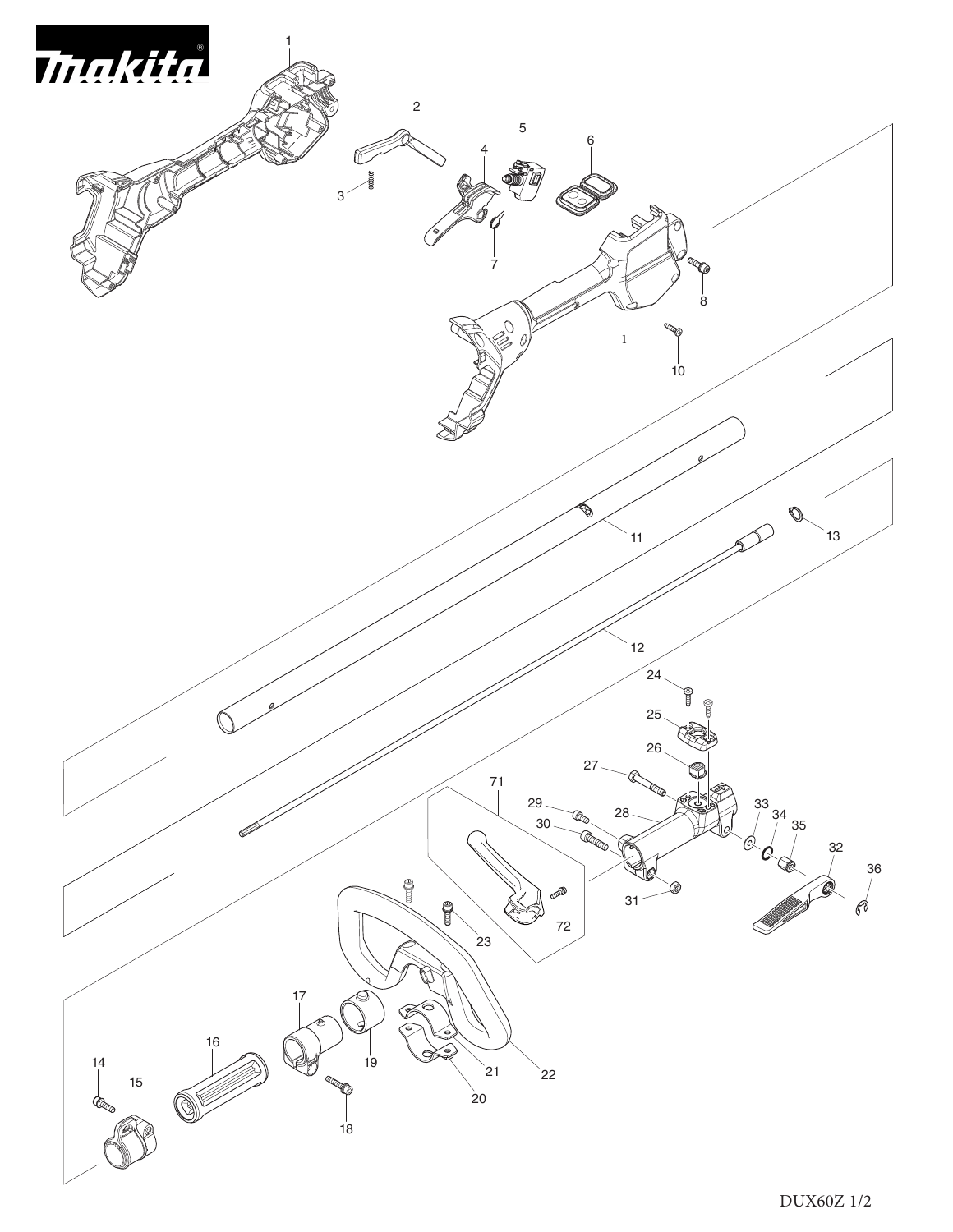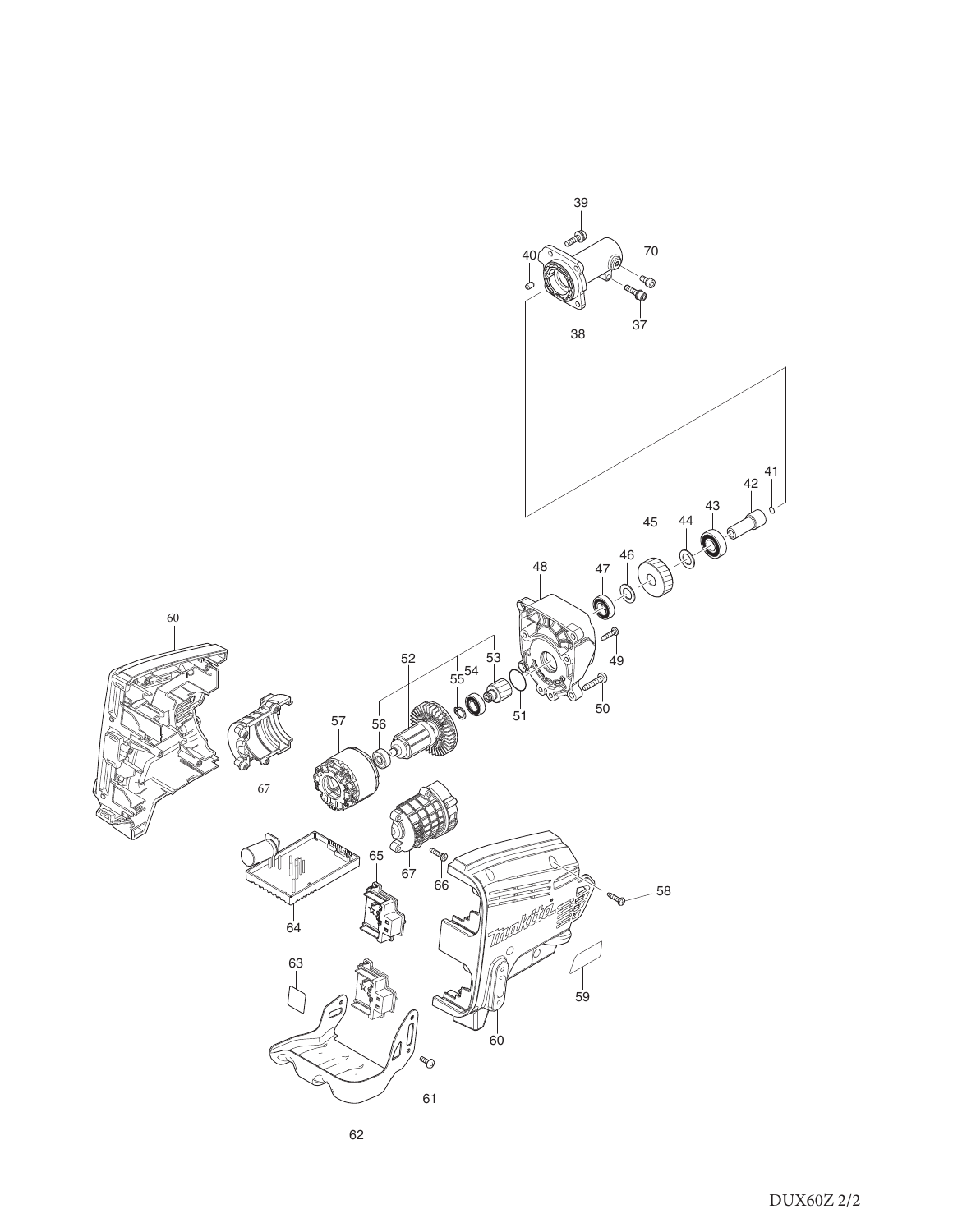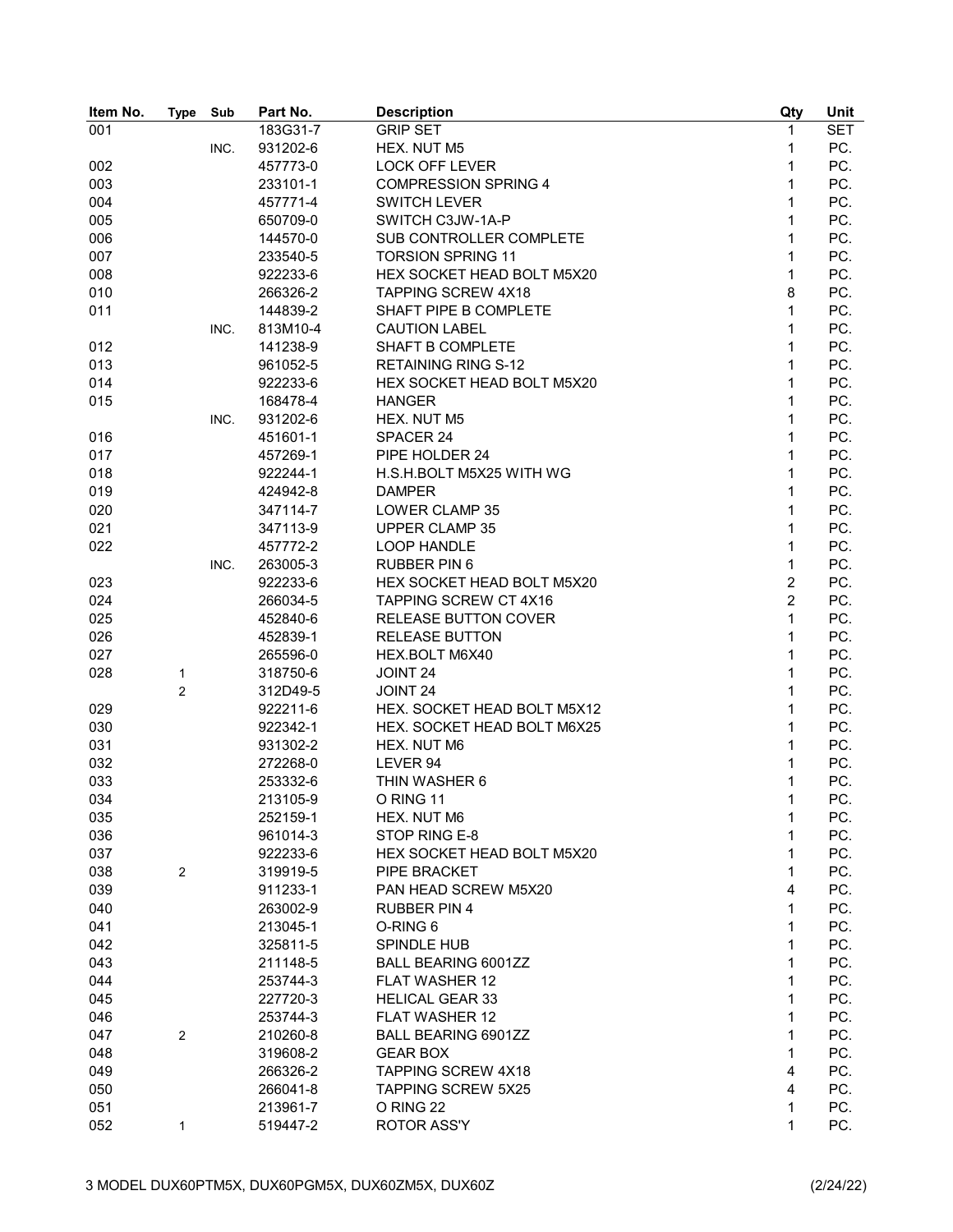| Item No. | <b>Type</b>    | Sub  | Part No. | <b>Description</b>           | Qty            | Unit       |
|----------|----------------|------|----------|------------------------------|----------------|------------|
| 001      |                |      | 183G31-7 | <b>GRIP SET</b>              | 1              | <b>SET</b> |
|          |                | INC. | 931202-6 | HEX. NUT M5                  | 1              | PC.        |
| 002      |                |      | 457773-0 | <b>LOCK OFF LEVER</b>        | 1              | PC.        |
| 003      |                |      | 233101-1 | <b>COMPRESSION SPRING 4</b>  | 1              | PC.        |
| 004      |                |      | 457771-4 | <b>SWITCH LEVER</b>          | 1              | PC.        |
| 005      |                |      | 650709-0 | SWITCH C3JW-1A-P             | 1              | PC.        |
| 006      |                |      | 144570-0 | SUB CONTROLLER COMPLETE      | 1              | PC.        |
| 007      |                |      | 233540-5 | <b>TORSION SPRING 11</b>     | 1              | PC.        |
| 008      |                |      | 922233-6 | HEX SOCKET HEAD BOLT M5X20   | 1              | PC.        |
| 010      |                |      | 266326-2 | <b>TAPPING SCREW 4X18</b>    | 8              | PC.        |
| 011      |                |      | 144839-2 | SHAFT PIPE B COMPLETE        | 1              | PC.        |
|          |                |      | 813M10-4 | <b>CAUTION LABEL</b>         | 1              | PC.        |
|          |                | INC. |          |                              | 1              | PC.        |
| 012      |                |      | 141238-9 | SHAFT B COMPLETE             |                |            |
| 013      |                |      | 961052-5 | <b>RETAINING RING S-12</b>   | 1              | PC.        |
| 014      |                |      | 922233-6 | HEX SOCKET HEAD BOLT M5X20   | 1              | PC.        |
| 015      |                |      | 168478-4 | <b>HANGER</b>                | 1              | PC.        |
|          |                | INC. | 931202-6 | HEX. NUT M5                  | 1              | PC.        |
| 016      |                |      | 451601-1 | SPACER 24                    | 1              | PC.        |
| 017      |                |      | 457269-1 | PIPE HOLDER 24               | 1              | PC.        |
| 018      |                |      | 922244-1 | H.S.H.BOLT M5X25 WITH WG     | 1              | PC.        |
| 019      |                |      | 424942-8 | <b>DAMPER</b>                | 1              | PC.        |
| 020      |                |      | 347114-7 | LOWER CLAMP 35               | 1              | PC.        |
| 021      |                |      | 347113-9 | <b>UPPER CLAMP 35</b>        | 1              | PC.        |
| 022      |                |      | 457772-2 | LOOP HANDLE                  | 1              | PC.        |
|          |                | INC. | 263005-3 | <b>RUBBER PIN 6</b>          | $\mathbf{1}$   | PC.        |
| 023      |                |      | 922233-6 | HEX SOCKET HEAD BOLT M5X20   | $\overline{c}$ | PC.        |
| 024      |                |      | 266034-5 | <b>TAPPING SCREW CT 4X16</b> | $\overline{2}$ | PC.        |
| 025      |                |      | 452840-6 | <b>RELEASE BUTTON COVER</b>  | $\mathbf{1}$   | PC.        |
| 026      |                |      | 452839-1 | <b>RELEASE BUTTON</b>        | 1              | PC.        |
| 027      |                |      | 265596-0 | HEX.BOLT M6X40               | 1              | PC.        |
| 028      | 1              |      | 318750-6 | JOINT 24                     | 1              | PC.        |
|          | $\overline{2}$ |      | 312D49-5 | <b>JOINT 24</b>              | 1              | PC.        |
| 029      |                |      | 922211-6 | HEX. SOCKET HEAD BOLT M5X12  | 1              | PC.        |
| 030      |                |      | 922342-1 | HEX. SOCKET HEAD BOLT M6X25  | 1              | PC.        |
| 031      |                |      | 931302-2 | HEX. NUT M6                  | 1              | PC.        |
|          |                |      |          |                              |                | PC.        |
| 032      |                |      | 272268-0 | LEVER 94                     | 1              |            |
| 033      |                |      | 253332-6 | THIN WASHER 6                | 1              | PC.        |
| 034      |                |      | 213105-9 | O RING 11                    | 1              | PC.        |
| 035      |                |      | 252159-1 | HEX. NUT M6                  | 1              | PC.        |
| 036      |                |      | 961014-3 | STOP RING E-8                | 1              | PC.        |
| 037      |                |      | 922233-6 | HEX SOCKET HEAD BOLT M5X20   | 1              | PC.        |
| 038      | 2              |      | 319919-5 | PIPE BRACKET                 | 1              | PC.        |
| 039      |                |      | 911233-1 | PAN HEAD SCREW M5X20         | 4              | PC.        |
| 040      |                |      | 263002-9 | <b>RUBBER PIN 4</b>          | 1              | PC.        |
| 041      |                |      | 213045-1 | O-RING 6                     | 1              | PC.        |
| 042      |                |      | 325811-5 | SPINDLE HUB                  | 1              | PC.        |
| 043      |                |      | 211148-5 | <b>BALL BEARING 6001ZZ</b>   | 1              | PC.        |
| 044      |                |      | 253744-3 | <b>FLAT WASHER 12</b>        | 1              | PC.        |
| 045      |                |      | 227720-3 | <b>HELICAL GEAR 33</b>       | 1              | PC.        |
| 046      |                |      | 253744-3 | <b>FLAT WASHER 12</b>        | 1              | PC.        |
| 047      | $\overline{2}$ |      | 210260-8 | BALL BEARING 6901ZZ          | 1              | PC.        |
| 048      |                |      | 319608-2 | <b>GEAR BOX</b>              | 1              | PC.        |
| 049      |                |      | 266326-2 | <b>TAPPING SCREW 4X18</b>    | 4              | PC.        |
| 050      |                |      | 266041-8 | <b>TAPPING SCREW 5X25</b>    | 4              | PC.        |
| 051      |                |      | 213961-7 | O RING 22                    | 1              | PC.        |
| 052      | 1              |      | 519447-2 | <b>ROTOR ASS'Y</b>           | 1              | PC.        |
|          |                |      |          |                              |                |            |